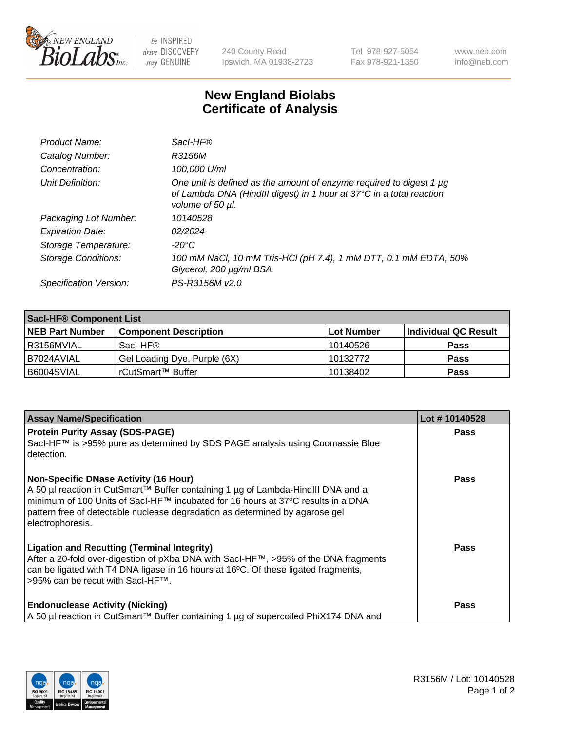

 $be$  INSPIRED drive DISCOVERY stay GENUINE

240 County Road Ipswich, MA 01938-2723 Tel 978-927-5054 Fax 978-921-1350 www.neb.com info@neb.com

## **New England Biolabs Certificate of Analysis**

| Product Name:           | Sacl-HF®                                                                                                                                                        |
|-------------------------|-----------------------------------------------------------------------------------------------------------------------------------------------------------------|
| Catalog Number:         | R3156M                                                                                                                                                          |
| Concentration:          | 100,000 U/ml                                                                                                                                                    |
| Unit Definition:        | One unit is defined as the amount of enzyme required to digest 1 µg<br>of Lambda DNA (HindIII digest) in 1 hour at 37°C in a total reaction<br>volume of 50 µl. |
| Packaging Lot Number:   | 10140528                                                                                                                                                        |
| <b>Expiration Date:</b> | 02/2024                                                                                                                                                         |
| Storage Temperature:    | $-20^{\circ}$ C                                                                                                                                                 |
| Storage Conditions:     | 100 mM NaCl, 10 mM Tris-HCl (pH 7.4), 1 mM DTT, 0.1 mM EDTA, 50%<br>Glycerol, 200 µg/ml BSA                                                                     |
| Specification Version:  | PS-R3156M v2.0                                                                                                                                                  |

| <b>Saci-HF® Component List</b> |                              |            |                      |  |
|--------------------------------|------------------------------|------------|----------------------|--|
| <b>NEB Part Number</b>         | <b>Component Description</b> | Lot Number | Individual QC Result |  |
| I R3156MVIAL                   | Sacl-HF®                     | 10140526   | <b>Pass</b>          |  |
| I B7024AVIAL                   | Gel Loading Dye, Purple (6X) | 10132772   | <b>Pass</b>          |  |
| B6004SVIAL                     | 'rCutSmart™ Buffer           | 10138402   | <b>Pass</b>          |  |

| <b>Assay Name/Specification</b>                                                                                                                                                                                                                                                                                          | Lot #10140528 |
|--------------------------------------------------------------------------------------------------------------------------------------------------------------------------------------------------------------------------------------------------------------------------------------------------------------------------|---------------|
| <b>Protein Purity Assay (SDS-PAGE)</b><br>Sacl-HF™ is >95% pure as determined by SDS PAGE analysis using Coomassie Blue<br>detection.                                                                                                                                                                                    | <b>Pass</b>   |
| <b>Non-Specific DNase Activity (16 Hour)</b><br>A 50 µl reaction in CutSmart™ Buffer containing 1 µg of Lambda-HindIII DNA and a<br>minimum of 100 Units of Sacl-HF™ incubated for 16 hours at 37°C results in a DNA<br>pattern free of detectable nuclease degradation as determined by agarose gel<br>electrophoresis. | <b>Pass</b>   |
| <b>Ligation and Recutting (Terminal Integrity)</b><br>After a 20-fold over-digestion of pXba DNA with SacI-HF™, >95% of the DNA fragments<br>can be ligated with T4 DNA ligase in 16 hours at 16°C. Of these ligated fragments,<br>>95% can be recut with SacI-HF™.                                                      | Pass          |
| <b>Endonuclease Activity (Nicking)</b><br>A 50 µl reaction in CutSmart™ Buffer containing 1 µg of supercoiled PhiX174 DNA and                                                                                                                                                                                            | <b>Pass</b>   |